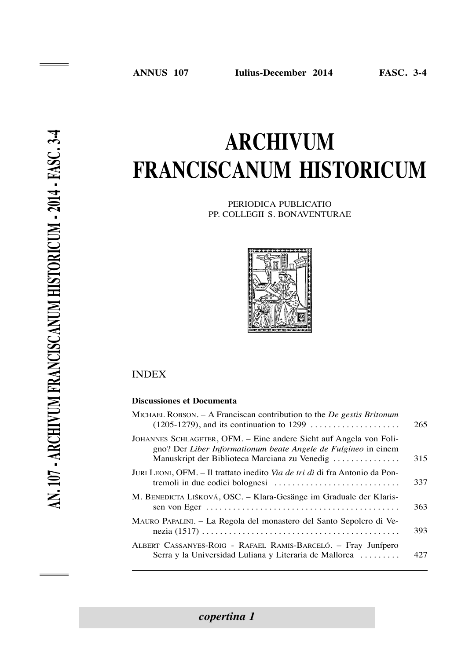# **Archivum frANciscANum historicum**

PeRiodica Publicatio PP. collegii s. bonaVentuRae



### **INDEX**

#### **Discussiones et Documenta**

| MICHAEL ROBSON. $- A$ Franciscan contribution to the <i>De gestis Britonum</i><br>$(1205-1279)$ , and its continuation to 1299                                                        | 265 |
|---------------------------------------------------------------------------------------------------------------------------------------------------------------------------------------|-----|
| JOHANNES SCHLAGETER, OFM. - Eine andere Sicht auf Angela von Foli-<br>gno? Der Liber Informationum beate Angele de Fulgineo in einem<br>Manuskript der Biblioteca Marciana zu Venedig | 315 |
| JURI LEONI, OFM. – Il trattato inedito <i>Via de tri dì</i> di fra Antonio da Pon-                                                                                                    | 337 |
| M. BENEDICTA LIŠKOVÁ, OSC. - Klara-Gesänge im Graduale der Klaris-                                                                                                                    | 363 |
| MAURO PAPALINI. – La Regola del monastero del Santo Sepolcro di Ve-                                                                                                                   | 393 |
| ALBERT CASSANYES-ROIG - RAFAEL RAMIS-BARCELÓ. – Fray Junípero<br>Serra y la Universidad Luliana y Literaria de Mallorca                                                               | 427 |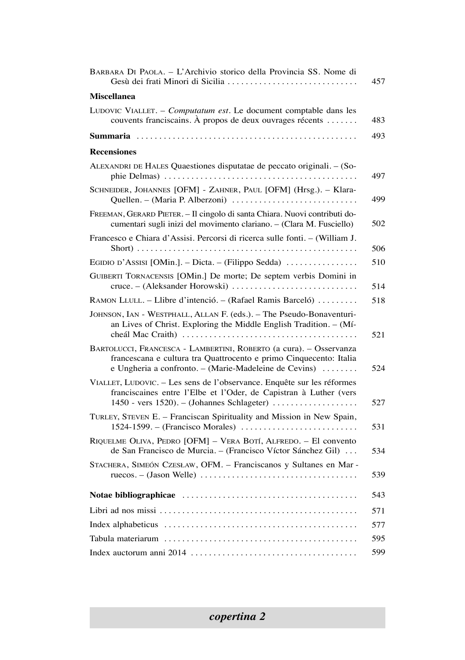| BARBARA DI PAOLA. - L'Archivio storico della Provincia SS. Nome di                                                                                                                                | 457 |
|---------------------------------------------------------------------------------------------------------------------------------------------------------------------------------------------------|-----|
| <b>Miscellanea</b>                                                                                                                                                                                |     |
| LUDOVIC VIALLET. - Computatum est. Le document comptable dans les<br>couvents franciscains. À propos de deux ouvrages récents                                                                     | 483 |
|                                                                                                                                                                                                   | 493 |
| <b>Recensiones</b>                                                                                                                                                                                |     |
| ALEXANDRI DE HALES Quaestiones disputatae de peccato originali. - (So-                                                                                                                            | 497 |
| SCHNEIDER, JOHANNES [OFM] - ZAHNER, PAUL [OFM] (Hrsg.). - Klara-<br>Quellen. - (Maria P. Alberzoni)                                                                                               | 499 |
| FREEMAN, GERARD PIETER. - Il cingolo di santa Chiara. Nuovi contributi do-<br>cumentari sugli inizi del movimento clariano. - (Clara M. Fusciello)                                                | 502 |
| Francesco e Chiara d'Assisi. Percorsi di ricerca sulle fonti. - (William J.                                                                                                                       | 506 |
| EGIDIO D'ASSISI [OMin.]. – Dicta. – (Filippo Sedda)                                                                                                                                               | 510 |
| GUIBERTI TORNACENSIS [OMin.] De morte; De septem verbis Domini in<br>cruce. – (Aleksander Horowski)                                                                                               | 514 |
| RAMON LLULL. - Llibre d'intenció. - (Rafael Ramis Barceló)                                                                                                                                        | 518 |
| JOHNSON, IAN - WESTPHALL, ALLAN F. (eds.). - The Pseudo-Bonaventuri-<br>an Lives of Christ. Exploring the Middle English Tradition. - (Mí-                                                        | 521 |
| BARTOLUCCI, FRANCESCA - LAMBERTINI, ROBERTO (a cura). - Osservanza<br>francescana e cultura tra Quattrocento e primo Cinquecento: Italia<br>e Ungheria a confronto. - (Marie-Madeleine de Cevins) | 524 |
| VIALLET, LUDOVIC. - Les sens de l'observance. Enquête sur les réformes<br>franciscaines entre l'Elbe et l'Oder, de Capistran à Luther (vers<br>$1450$ - vers $1520$ ). - (Johannes Schlageter)    | 527 |
| TURLEY, STEVEN E. - Franciscan Spirituality and Mission in New Spain,                                                                                                                             | 531 |
| RIQUELME OLIVA, PEDRO [OFM] - VERA BOTÍ, ALFREDO. - El convento<br>de San Francisco de Murcia. - (Francisco Víctor Sánchez Gil)                                                                   | 534 |
| STACHERA, SIMEÓN CZESŁAW, OFM. - Franciscanos y Sultanes en Mar-                                                                                                                                  | 539 |
|                                                                                                                                                                                                   | 543 |
|                                                                                                                                                                                                   | 571 |
|                                                                                                                                                                                                   | 577 |
|                                                                                                                                                                                                   | 595 |
|                                                                                                                                                                                                   | 599 |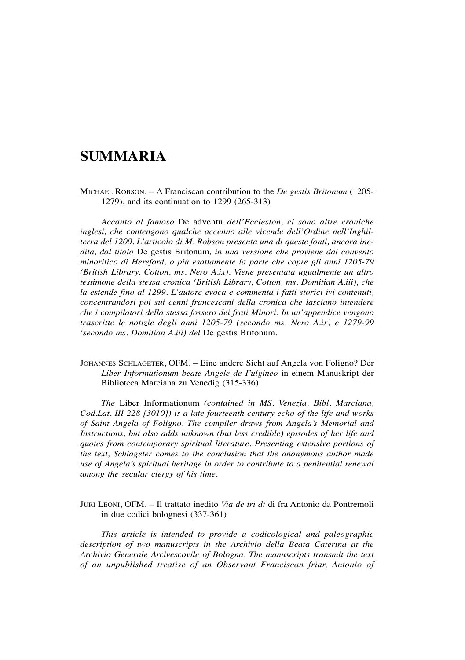## **summaria**

Michael Robson. – a Franciscan contribution to the *De gestis Britonum* (1205- 1279), and its continuation to 1299 (265-313)

*Accanto al famoso* De adventu *dell'Eccleston, ci sono altre croniche inglesi, che contengono qualche accenno alle vicende dell'Ordine nell'Inghilterra del 1200. L'articolo di M. Robson presenta una di queste fonti, ancora inedita, dal titolo* De gestis britonum*, in una versione che proviene dal convento minoritico di Hereford, o più esattamente la parte che copre gli anni 1205-79 (British Library, Cotton, ms. Nero A.ix). Viene presentata ugualmente un altro testimone della stessa cronica (British Library, Cotton, ms. Domitian A.iii), che la estende fino al 1299. L'autore evoca e commenta i fatti storici ivi contenuti, concentrandosi poi sui cenni francescani della cronica che lasciano intendere che i compilatori della stessa fossero dei frati Minori. In un'appendice vengono trascritte le notizie degli anni 1205-79 (secondo ms. Nero A.ix) e 1279-99 (secondo ms. Domitian A.iii) del* De gestis britonum*.*

JOHANNES SCHLAGETER, OFM. – Eine andere Sicht auf Angela von Foligno? Der *Liber Informationum beate Angele de Fulgineo* in einem Manuskript der biblioteca Marciana zu Venedig (315-336)

*The* liber informationum *(contained in MS. Venezia, Bibl. Marciana, Cod.Lat. III 228 [3010]) is a late fourteenth-century echo of the life and works of Saint Angela of Foligno. The compiler draws from Angela's Memorial and Instructions, but also adds unknown (but less credible) episodes of her life and quotes from contemporary spiritual literature. Presenting extensive portions of the text, Schlageter comes to the conclusion that the anonymous author made use of Angela's spiritual heritage in order to contribute to a penitential renewal among the secular clergy of his time.*

JURI LEONI, OFM. – Il trattato inedito *Via de tri dì* di fra Antonio da Pontremoli in due codici bolognesi (337-361)

*This article is intended to provide a codicological and paleographic description of two manuscripts in the Archivio della Beata Caterina at the Archivio Generale Arcivescovile of Bologna. The manuscripts transmit the text of an unpublished treatise of an Observant Franciscan friar, Antonio of*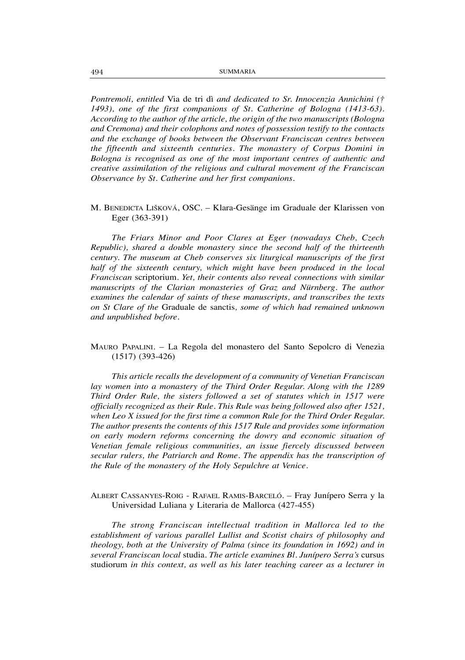*Pontremoli, entitled* Via de tri dì *and dedicated to Sr. Innocenzia Annichini († 1493), one of the first companions of St. Catherine of Bologna (1413-63). According to the author of the article, the origin of the two manuscripts (Bologna and Cremona) and their colophons and notes of possession testify to the contacts and the exchange of books between the Observant Franciscan centres between the fifteenth and sixteenth centuries. The monastery of Corpus Domini in Bologna is recognised as one of the most important centres of authentic and creative assimilation of the religious and cultural movement of the Franciscan Observance by St. Catherine and her first companions.* 

#### M. BENEDICTA LIŠKOVÁ, OSC. – Klara-Gesänge im Graduale der Klarissen von Eger (363-391)

*The Friars Minor and Poor Clares at Eger (nowadays Cheb, Czech Republic), shared a double monastery since the second half of the thirteenth century. The museum at Cheb conserves six liturgical manuscripts of the first half of the sixteenth century, which might have been produced in the local Franciscan* scriptorium*. Yet, their contents also reveal connections with similar manuscripts of the Clarian monasteries of Graz and Nürnberg. The author examines the calendar of saints of these manuscripts, and transcribes the texts on St Clare of the* graduale de sanctis*, some of which had remained unknown and unpublished before.*

MauRo PaPalini. – la Regola del monastero del santo sepolcro di Venezia (1517) (393-426)

*This article recalls the development of a community of Venetian Franciscan lay women into a monastery of the Third Order Regular. Along with the 1289 Third Order Rule, the sisters followed a set of statutes which in 1517 were officially recognized as their Rule. This Rule was being followed also after 1521, when Leo X issued for the first time a common Rule for the Third Order Regular. The author presents the contents of this 1517 Rule and provides some information on early modern reforms concerning the dowry and economic situation of Venetian female religious communities, an issue fiercely discussed between secular rulers, the Patriarch and Rome. The appendix has the transcription of the Rule of the monastery of the Holy Sepulchre at Venice.*

#### albeRt cassanyes-Roig - RaFael RaMis-baRceló. – Fray Junípero serra y la Universidad Luliana y Literaria de Mallorca (427-455)

*The strong Franciscan intellectual tradition in Mallorca led to the establishment of various parallel Lullist and Scotist chairs of philosophy and theology, both at the University of Palma (since its foundation in 1692) and in several Franciscan local* studia*. The article examines Bl. Junípero Serra's* cursus studiorum *in this context, as well as his later teaching career as a lecturer in*